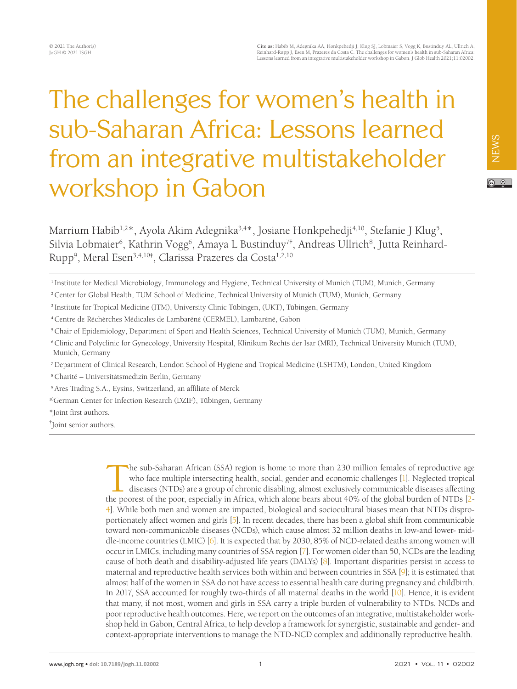# The challenges for women's health in sub-Saharan Africa: Lessons learned from an integrative multistakeholder workshop in Gabon

 $\boxed{6}$ 

NEWS

Marrium Habib<sup>1,2\*</sup>, Ayola Akim Adegnika<sup>3,4\*</sup>, Josiane Honkpehedji<sup>4,10</sup>, Stefanie J Klug<sup>5</sup>, Silvia Lobmaier<sup>6</sup>, Kathrin Vogg<sup>6</sup>, Amaya L Bustinduy<sup>7+</sup>, Andreas Ullrich<sup>8</sup>, Jutta Reinhard-Rupp<sup>9</sup>, Meral Esen<sup>3,4,10†</sup>, Clarissa Prazeres da Costa<sup>1,2,10</sup>

<sup>2</sup>Center for Global Health, TUM School of Medicine, Technical University of Munich (TUM), Munich, Germany

<sup>7</sup>Department of Clinical Research, London School of Hygiene and Tropical Medicine (LSHTM), London, United Kingdom

<sup>8</sup>Charité – Universitätsmedizin Berlin, Germany

<sup>9</sup>Ares Trading S.A., Eysins, Switzerland, an affiliate of Merck

10 German Center for Infection Research (DZIF), Tübingen, Germany

\*Joint first authors.

† Joint senior authors.

The sub-Saharan African (SSA) region is home to more than 230 million females of reproductive age who face multiple intersecting health, social, gender and economic challenges [1]. Neglected tropical diseases (NTDs) are a group of chronic disabling, almost exclusively communicable diseases affecting the poorest of the poor, especially in Africa, which alone bears about 40% of the global burden of NTDs [\[2-](#page-6-1) [4\]](#page-6-0). While both men and women are impacted, biological and sociocultural biases mean that NTDs disproportionately affect women and girls [\[5](#page-6-2)]. In recent decades, there has been a global shift from communicable toward non-communicable diseases (NCDs), which cause almost 32 million deaths in low-and lower- middle-income countries (LMIC) [\[6](#page-6-3)]. It is expected that by 2030, 85% of NCD-related deaths among women will occur in LMICs, including many countries of SSA region [\[7\]](#page-6-4). For women older than 50, NCDs are the leading cause of both death and disability-adjusted life years (DALYs) [\[8](#page-6-5)]. Important disparities persist in access to maternal and reproductive health services both within and between countries in SSA [\[9](#page-6-6)]; it is estimated that almost half of the women in SSA do not have access to essential health care during pregnancy and childbirth. In 2017, SSA accounted for roughly two-thirds of all maternal deaths in the world [\[10\]](#page-6-7). Hence, it is evident that many, if not most, women and girls in SSA carry a triple burden of vulnerability to NTDs, NCDs and poor reproductive health outcomes. Here, we report on the outcomes of an integrative, multistakeholder workshop held in Gabon, Central Africa, to help develop a framework for synergistic, sustainable and gender- and context-appropriate interventions to manage the NTD-NCD complex and additionally reproductive health.

<sup>1</sup> Institute for Medical Microbiology, Immunology and Hygiene, Technical University of Munich (TUM), Munich, Germany

<sup>3</sup> Institute for Tropical Medicine (ITM), University Clinic Tübingen, (UKT), Tübingen, Germany

<sup>4</sup>Centre de Réchèrches Médicales de Lambaréné (CERMEL), Lambaréné, Gabon

<sup>5</sup>Chair of Epidemiology, Department of Sport and Health Sciences, Technical University of Munich (TUM), Munich, Germany

<sup>6</sup>Clinic and Polyclinic for Gynecology, University Hospital, Klinikum Rechts der Isar (MRI), Technical University Munich (TUM), Munich, Germany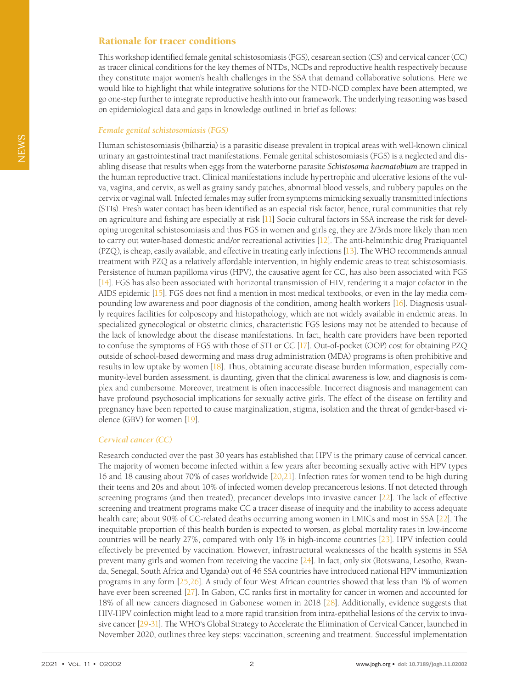## Rationale for tracer conditions

This workshop identified female genital schistosomiasis (FGS), cesarean section (CS) and cervical cancer (CC) as tracer clinical conditions for the key themes of NTDs, NCDs and reproductive health respectively because they constitute major women's health challenges in the SSA that demand collaborative solutions. Here we would like to highlight that while integrative solutions for the NTD-NCD complex have been attempted, we go one-step further to integrate reproductive health into our framework. The underlying reasoning was based on epidemiological data and gaps in knowledge outlined in brief as follows:

#### *Female genital schistosomiasis (FGS)*

Human schistosomiasis (bilharzia) is a parasitic disease prevalent in tropical areas with well-known clinical urinary an gastrointestinal tract manifestations. Female genital schistosomiasis (FGS) is a neglected and disabling disease that results when eggs from the waterborne parasite *Schistosoma haematobium* are trapped in the human reproductive tract. Clinical manifestations include hypertrophic and ulcerative lesions of the vulva, vagina, and cervix, as well as grainy sandy patches, abnormal blood vessels, and rubbery papules on the cervix or vaginal wall. Infected females may suffer from symptoms mimicking sexually transmitted infections (STIs). Fresh water contact has been identified as an especial risk factor, hence, rural communities that rely on agriculture and fishing are especially at risk [\[11](#page-6-8)] Socio cultural factors in SSA increase the risk for developing urogenital schistosomiasis and thus FGS in women and girls eg, they are 2/3rds more likely than men to carry out water-based domestic and/or recreational activities [\[12](#page-6-9)]. The anti-helminthic drug Praziquantel (PZQ), is cheap, easily available, and effective in treating early infections [\[13\]](#page-6-10). The WHO recommends annual treatment with PZQ as a relatively affordable intervention, in highly endemic areas to treat schistosomiasis. Persistence of human papilloma virus (HPV), the causative agent for CC, has also been associated with FGS [\[14](#page-6-11)]. FGS has also been associated with horizontal transmission of HIV, rendering it a major cofactor in the AIDS epidemic [\[15](#page-6-12)]. FGS does not find a mention in most medical textbooks, or even in the lay media compounding low awareness and poor diagnosis of the condition, among health workers [\[16\]](#page-6-13). Diagnosis usually requires facilities for colposcopy and histopathology, which are not widely available in endemic areas. In specialized gynecological or obstetric clinics, characteristic FGS lesions may not be attended to because of the lack of knowledge about the disease manifestations. In fact, health care providers have been reported to confuse the symptoms of FGS with those of STI or CC [\[17](#page-6-14)]. Out-of-pocket (OOP) cost for obtaining PZQ outside of school-based deworming and mass drug administration (MDA) programs is often prohibitive and results in low uptake by women [\[18\]](#page-6-15). Thus, obtaining accurate disease burden information, especially community-level burden assessment, is daunting, given that the clinical awareness is low, and diagnosis is complex and cumbersome. Moreover, treatment is often inaccessible. Incorrect diagnosis and management can have profound psychosocial implications for sexually active girls. The effect of the disease on fertility and pregnancy have been reported to cause marginalization, stigma, isolation and the threat of gender-based violence (GBV) for women [\[19\]](#page-6-16).

### *Cervical cancer (CC)*

Research conducted over the past 30 years has established that HPV is the primary cause of cervical cancer. The majority of women become infected within a few years after becoming sexually active with HPV types 16 and 18 causing about 70% of cases worldwide [[20](#page-6-17),[21](#page-6-18)]. Infection rates for women tend to be high during their teens and 20s and about 10% of infected women develop precancerous lesions. If not detected through screening programs (and then treated), precancer develops into invasive cancer [[22](#page-6-19)]. The lack of effective screening and treatment programs make CC a tracer disease of inequity and the inability to access adequate health care; about 90% of CC-related deaths occurring among women in LMICs and most in SSA [\[22\]](#page-6-19). The inequitable proportion of this health burden is expected to worsen, as global mortality rates in low-income countries will be nearly 27%, compared with only 1% in high-income countries [\[23\]](#page-6-20). HPV infection could effectively be prevented by vaccination. However, infrastructural weaknesses of the health systems in SSA prevent many girls and women from receiving the vaccine [\[24\]](#page-6-21). In fact, only six (Botswana, Lesotho, Rwanda, Senegal, South Africa and Uganda) out of 46 SSA countries have introduced national HPV immunization programs in any form [\[25](#page-7-0)[,26\]](#page-7-1). A study of four West African countries showed that less than 1% of women have ever been screened [\[27\]](#page-7-2). In Gabon, CC ranks first in mortality for cancer in women and accounted for 18% of all new cancers diagnosed in Gabonese women in 2018 [\[28\]](#page-7-3). Additionally, evidence suggests that HIV-HPV coinfection might lead to a more rapid transition from intra-epithelial lesions of the cervix to invasive cancer [\[29](#page-7-4)[-31\]](#page-7-5). The WHO's Global Strategy to Accelerate the Elimination of Cervical Cancer, launched in November 2020, outlines three key steps: vaccination, screening and treatment. Successful implementation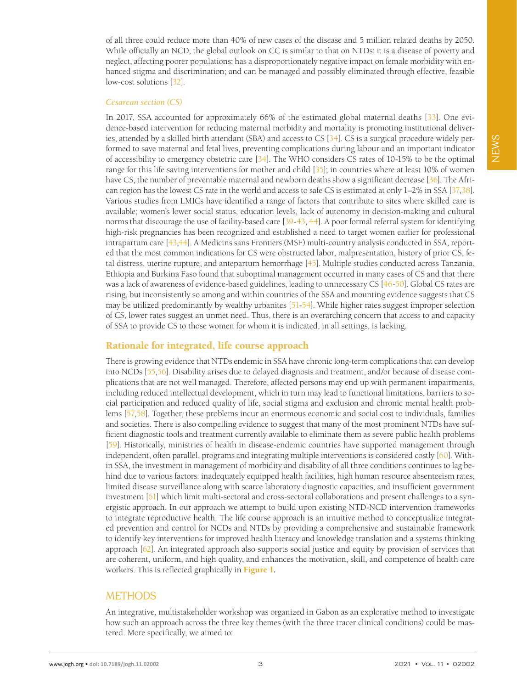of all three could reduce more than 40% of new cases of the disease and 5 million related deaths by 2050. While officially an NCD, the global outlook on CC is similar to that on NTDs: it is a disease of poverty and neglect, affecting poorer populations; has a disproportionately negative impact on female morbidity with enhanced stigma and discrimination; and can be managed and possibly eliminated through effective, feasible low-cost solutions [[32](#page-7-6)].

#### *Cesarean section (CS)*

In 2017, SSA accounted for approximately 66% of the estimated global maternal deaths [\[33](#page-7-7)]. One evidence-based intervention for reducing maternal morbidity and mortality is promoting institutional deliveries, attended by a skilled birth attendant (SBA) and access to CS [\[34](#page-7-8)]. CS is a surgical procedure widely performed to save maternal and fetal lives, preventing complications during labour and an important indicator of accessibility to emergency obstetric care  $[34]$ . The WHO considers CS rates of 10-15% to be the optimal range for this life saving interventions for mother and child [\[35\]](#page-7-9); in countries where at least 10% of women have CS, the number of preventable maternal and newborn deaths show a significant decrease [\[36](#page-7-10)]. The African region has the lowest CS rate in the world and access to safe CS is estimated at only 1–2% in SSA [\[37](#page-7-11),[38\]](#page-7-12). Various studies from LMICs have identified a range of factors that contribute to sites where skilled care is available; women's lower social status, education levels, lack of autonomy in decision-making and cultural norms that discourage the use of facility-based care [\[39](#page-7-13)-[43,](#page-7-14) [44](#page-7-15)]. A poor formal referral system for identifying high-risk pregnancies has been recognized and established a need to target women earlier for professional intrapartum care [\[43,](#page-7-14)[44\]](#page-7-15). A Medicins sans Frontiers (MSF) multi-country analysis conducted in SSA, reported that the most common indications for CS were obstructed labor, malpresentation, history of prior CS, fetal distress, uterine rupture, and antepartum hemorrhage [\[45](#page-7-16)]. Multiple studies conducted across Tanzania, Ethiopia and Burkina Faso found that suboptimal management occurred in many cases of CS and that there was a lack of awareness of evidence-based guidelines, leading to unnecessary CS [\[46](#page-7-17)[-50](#page-7-18)]. Global CS rates are rising, but inconsistently so among and within countries of the SSA and mounting evidence suggests that CS may be utilized predominantly by wealthy urbanites [\[51-](#page-7-19)[54\]](#page-8-0). While higher rates suggest improper selection of CS, lower rates suggest an unmet need. Thus, there is an overarching concern that access to and capacity of SSA to provide CS to those women for whom it is indicated, in all settings, is lacking.

## Rationale for integrated, life course approach

There is growing evidence that NTDs endemic in SSA have chronic long-term complications that can develop into NCDs [\[55](#page-8-1)[,56](#page-8-2)]. Disability arises due to delayed diagnosis and treatment, and/or because of disease complications that are not well managed. Therefore, affected persons may end up with permanent impairments, including reduced intellectual development, which in turn may lead to functional limitations, barriers to social participation and reduced quality of life, social stigma and exclusion and chronic mental health problems [\[57](#page-8-3)[,58](#page-8-4)]. Together, these problems incur an enormous economic and social cost to individuals, families and societies. There is also compelling evidence to suggest that many of the most prominent NTDs have sufficient diagnostic tools and treatment currently available to eliminate them as severe public health problems [\[59\]](#page-8-5). Historically, ministries of health in disease-endemic countries have supported management through independent, often parallel, programs and integrating multiple interventions is considered costly [\[60](#page-8-6)]. Within SSA, the investment in management of morbidity and disability of all three conditions continues to lag behind due to various factors: inadequately equipped health facilities, high human resource absenteeism rates, limited disease surveillance along with scarce laboratory diagnostic capacities, and insufficient government investment [\[61](#page-8-7)] which limit multi-sectoral and cross-sectoral collaborations and present challenges to a synergistic approach. In our approach we attempt to build upon existing NTD-NCD intervention frameworks to integrate reproductive health. The life course approach is an intuitive method to conceptualize integrated prevention and control for NCDs and NTDs by providing a comprehensive and sustainable framework to identify key interventions for improved health literacy and knowledge translation and a systems thinking approach [\[62\]](#page-8-8). An integrated approach also supports social justice and equity by provision of services that are coherent, uniform, and high quality, and enhances the motivation, skill, and competence of health care workers. This is reflected graphically in **[Figure](#page-3-0) 1.**

## METHODS

An integrative, multistakeholder workshop was organized in Gabon as an explorative method to investigate how such an approach across the three key themes (with the three tracer clinical conditions) could be mastered. More specifically, we aimed to: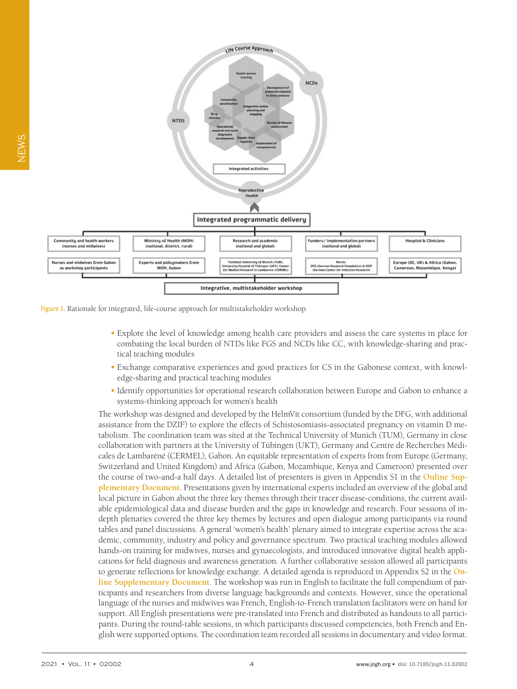<span id="page-3-0"></span>

Figure 1. Rationale for integrated, life-course approach for multistakeholder workshop.

- **•** Explore the level of knowledge among health care providers and assess the care systems in place for combating the local burden of NTDs like FGS and NCDs like CC, with knowledge-sharing and practical teaching modules
- **•** Exchange comparative experiences and good practices for CS in the Gabonese context, with knowledge-sharing and practical teaching modules
- **•** Identify opportunities for operational research collaboration between Europe and Gabon to enhance a systems-thinking approach for women's health

The workshop was designed and developed by the HelmVit consortium (funded by the DFG, with additional assistance from the DZIF) to explore the effects of Schistosomiasis-associated pregnancy on vitamin D metabolism. The coordination team was sited at the Technical University of Munich (TUM), Germany in close collaboration with partners at the University of Tübingen (UKT), Germany and Centre de Recherches Médicales de Lambaréné (CERMEL), Gabon. An equitable representation of experts from from Europe (Germany, Switzerland and United Kingdom) and Africa (Gabon, Mozambique, Kenya and Cameroon) presented over the course of two-and-a half days. A detailed list of presenters is given in Appendix S1 in the **[Online](#page-6-22) Sup[plementary](#page-6-22) Document**. Presentations given by international experts included an overview of the global and local picture in Gabon about the three key themes through their tracer disease-conditions, the current available epidemiological data and disease burden and the gaps in knowledge and research. Four sessions of indepth plenaries covered the three key themes by lectures and open dialogue among participants via round tables and panel discussions. A general 'women's health' plenary aimed to integrate expertise across the academic, community, industry and policy and governance spectrum. Two practical teaching modules allowed hands-on training for midwives, nurses and gynaecologists, and introduced innovative digital health applications for field diagnosis and awareness generation. A further collaborative session allowed all participants to generate reflections for knowledge exchange. A detailed agenda is reproduced in Appendix S2 in the **[On](#page-6-22)line [Supplementary](#page-6-22) Document**. The workshop was run in English to facilitate the full compendium of participants and researchers from diverse language backgrounds and contexts. However, since the operational language of the nurses and midwives was French, English-to-French translation facilitators were on hand for support. All English presentations were pre-translated into French and distributed as handouts to all participants. During the round-table sessions, in which participants discussed competencies, both French and English were supported options. The coordination team recorded all sessions in documentary and video format.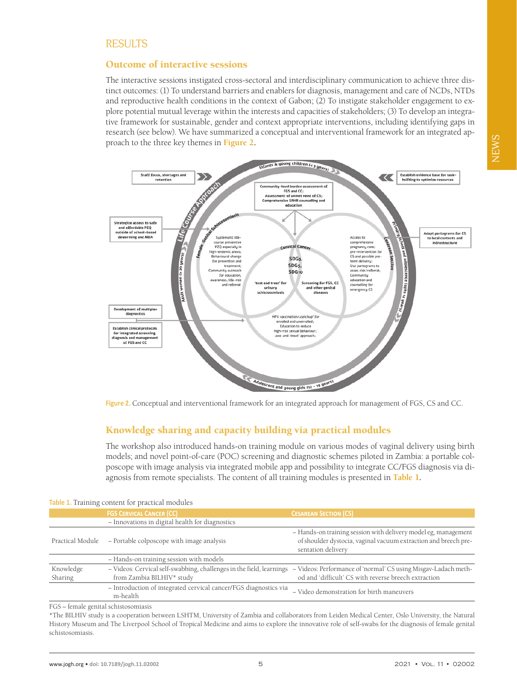## Outcome of interactive sessions

The interactive sessions instigated cross-sectoral and interdisciplinary communication to achieve three distinct outcomes: (1) To understand barriers and enablers for diagnosis, management and care of NCDs, NTDs and reproductive health conditions in the context of Gabon; (2) To instigate stakeholder engagement to explore potential mutual leverage within the interests and capacities of stakeholders; (3) To develop an integrative framework for sustainable, gender and context appropriate interventions, including identifying gaps in research (see below). We have summarized a conceptual and interventional framework for an integrated approach to the three key themes in **[Figure](#page-4-0) 2.**

<span id="page-4-0"></span>

**Figure 2.** Conceptual and interventional framework for an integrated approach for management of FGS, CS and CC.

# Knowledge sharing and capacity building via practical modules

The workshop also introduced hands-on training module on various modes of vaginal delivery using birth models; and novel point-of-care (POC) screening and diagnostic schemes piloted in Zambia: a portable colposcope with image analysis via integrated mobile app and possibility to integrate CC/FGS diagnosis via diagnosis from remote specialists. The content of all training modules is presented in **[Table](#page-6-0) 1.**

| <b>TODIC 40 ITALIALLE CONCILE TOT PLACERAL HIOGRAPH</b>                                           |                                                                                                                                                         |
|---------------------------------------------------------------------------------------------------|---------------------------------------------------------------------------------------------------------------------------------------------------------|
| <b>FGS CERVICAL CANCER (CC)</b>                                                                   | <b>CESAREAN SECTION (CS)</b>                                                                                                                            |
| - Innovations in digital health for diagnostics                                                   |                                                                                                                                                         |
| - Portable colposcope with image analysis                                                         | - Hands-on training session with delivery model eg, management<br>of shoulder dystocia, vaginal vacuum extraction and breech pre-<br>sentation delivery |
| - Hands-on training session with models                                                           |                                                                                                                                                         |
| - Videos: Cervical self-swabbing, challenges in the field, learnings<br>from Zambia BILHIV* study | - Videos: Performance of 'normal' CS using Misgav-Ladach meth-<br>od and 'difficult' CS with reverse breech extraction                                  |
| - Introduction of integrated cervical cancer/FGS diagnostics via<br>m-health                      | - Video demonstration for birth maneuvers                                                                                                               |
|                                                                                                   |                                                                                                                                                         |

### **Table 1.** Training content for practical modules

FGS – female genital schistosomiasis

\*The BILHIV study is a cooperation between LSHTM, University of Zambia and collaborators from Leiden Medical Center, Oslo University, the Natural History Museum and The Liverpool School of Tropical Medicine and aims to explore the innovative role of self-swabs for the diagnosis of female genital schistosomiasis.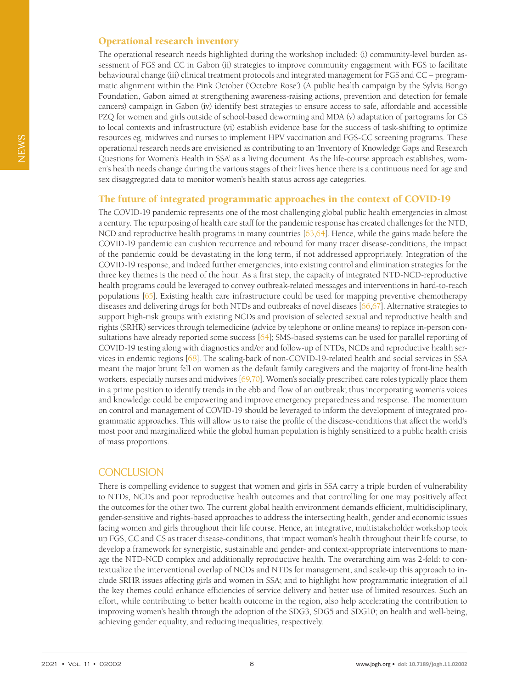## Operational research inventory

The operational research needs highlighted during the workshop included: (i) community-level burden assessment of FGS and CC in Gabon (ii) strategies to improve community engagement with FGS to facilitate behavioural change (iii) clinical treatment protocols and integrated management for FGS and CC – programmatic alignment within the Pink October ('Octobre Rose') (A public health campaign by the Sylvia Bongo Foundation, Gabon aimed at strengthening awareness-raising actions, prevention and detection for female cancers) campaign in Gabon (iv) identify best strategies to ensure access to safe, affordable and accessible PZQ for women and girls outside of school-based deworming and MDA (v) adaptation of partograms for CS to local contexts and infrastructure (vi) establish evidence base for the success of task-shifting to optimize resources eg, midwives and nurses to implement HPV vaccination and FGS-CC screening programs. These operational research needs are envisioned as contributing to an 'Inventory of Knowledge Gaps and Research Questions for Women's Health in SSA' as a living document. As the life-course approach establishes, women's health needs change during the various stages of their lives hence there is a continuous need for age and sex disaggregated data to monitor women's health status across age categories.

## The future of integrated programmatic approaches in the context of COVID-19

The COVID-19 pandemic represents one of the most challenging global public health emergencies in almost a century. The repurposing of health care staff for the pandemic response has created challenges for the NTD, NCD and reproductive health programs in many countries  $[63,64]$  $[63,64]$  $[63,64]$ . Hence, while the gains made before the COVID-19 pandemic can cushion recurrence and rebound for many tracer disease-conditions, the impact of the pandemic could be devastating in the long term, if not addressed appropriately. Integration of the COVID-19 response, and indeed further emergencies, into existing control and elimination strategies for the three key themes is the need of the hour. As a first step, the capacity of integrated NTD-NCD-reproductive health programs could be leveraged to convey outbreak-related messages and interventions in hard-to-reach populations [\[65](#page-8-11)]. Existing health care infrastructure could be used for mapping preventive chemotherapy diseases and delivering drugs for both NTDs and outbreaks of novel diseaes [\[66,](#page-8-12)[67\]](#page-8-13). Alternative strategies to support high-risk groups with existing NCDs and provision of selected sexual and reproductive health and rights (SRHR) services through telemedicine (advice by telephone or online means) to replace in-person con-sultations have already reported some success [\[64\]](#page-8-10); SMS-based systems can be used for parallel reporting of COVID-19 testing along with diagnostics and/or and follow-up of NTDs, NCDs and reproductive health services in endemic regions [[68\]](#page-8-14). The scaling-back of non-COVID-19-related health and social services in SSA meant the major brunt fell on women as the default family caregivers and the majority of front-line health workers, especially nurses and midwives [\[69,](#page-8-15)[70](#page-8-16)]. Women's socially prescribed care roles typically place them in a prime position to identify trends in the ebb and flow of an outbreak; thus incorporating women's voices and knowledge could be empowering and improve emergency preparedness and response. The momentum on control and management of COVID-19 should be leveraged to inform the development of integrated programmatic approaches. This will allow us to raise the profile of the disease-conditions that affect the world's most poor and marginalized while the global human population is highly sensitized to a public health crisis of mass proportions.

## **CONCLUSION**

There is compelling evidence to suggest that women and girls in SSA carry a triple burden of vulnerability to NTDs, NCDs and poor reproductive health outcomes and that controlling for one may positively affect the outcomes for the other two. The current global health environment demands efficient, multidisciplinary, gender-sensitive and rights-based approaches to address the intersecting health, gender and economic issues facing women and girls throughout their life course. Hence, an integrative, multistakeholder workshop took up FGS, CC and CS as tracer disease-conditions, that impact woman's health throughout their life course, to develop a framework for synergistic, sustainable and gender- and context-appropriate interventions to manage the NTD-NCD complex and additionally reproductive health. The overarching aim was 2-fold: to contextualize the interventional overlap of NCDs and NTDs for management, and scale-up this approach to include SRHR issues affecting girls and women in SSA; and to highlight how programmatic integration of all the key themes could enhance efficiencies of service delivery and better use of limited resources. Such an effort, while contributing to better health outcome in the region, also help accelerating the contribution to improving women's health through the adoption of the SDG3, SDG5 and SDG10; on health and well-being, achieving gender equality, and reducing inequalities, respectively.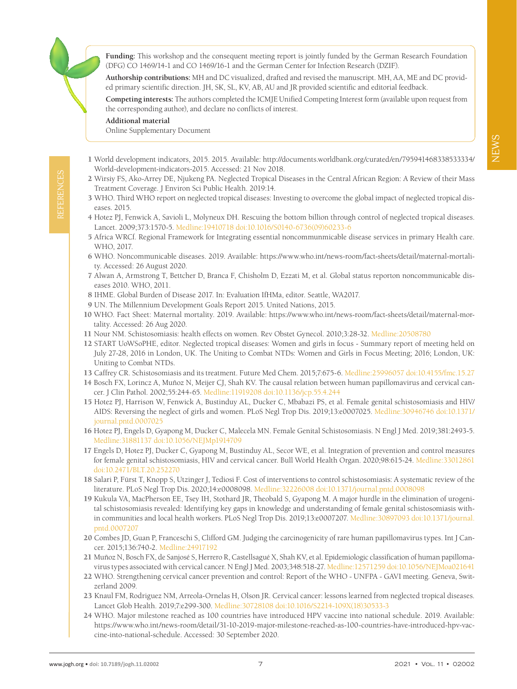**Funding:** This workshop and the consequent meeting report is jointly funded by the German Research Foundation (DFG) CO 1469/14-1 and CO 1469/16-1 and the German Center for Infection Research (DZIF).

**Authorship contributions:** MH and DC visualized, drafted and revised the manuscript. MH, AA, ME and DC provided primary scientific direction. JH, SK, SL, KV, AB, AU and JR provided scientific and editorial feedback.

**Competing interests:** The authors completed the ICMJE Unified Competing Interest form (available upon request from the corresponding author), and declare no conflicts of interest.

**Additional material**

REFERENCES

<span id="page-6-22"></span>[Online Supplementary Document](http://jogh.org/documents/2021/jogh-11-02002-s001.pdf)

- <span id="page-6-0"></span>1 World development indicators, 2015. 2015. Available: [http://documents.worldbank.org/curated/en/795941468338533334/](http://documents.worldbank.org/curated/en/795941468338533334/World-development-indicators-2015) [World-development-indicators-2015.](http://documents.worldbank.org/curated/en/795941468338533334/World-development-indicators-2015) Accessed: 21 Nov 2018.
- <span id="page-6-1"></span>2 Wirsiy FS, Ako-Arrey DE, Njukeng PA. Neglected Tropical Diseases in the Central African Region: A Review of their Mass Treatment Coverage. J Environ Sci Public Health. 2019:14.
- 3 WHO. Third WHO report on neglected tropical diseases: Investing to overcome the global impact of neglected tropical diseases. 2015.
- 4 Hotez PJ, Fenwick A, Savioli L, Molyneux DH. Rescuing the bottom billion through control of neglected tropical diseases. Lancet. 2009;373:1570-5. [Medline:19410718](https://www.ncbi.nlm.nih.gov/entrez/query.fcgi?cmd=Retrieve&db=PubMed&list_uids=19410718&dopt=Abstract) [doi:10.1016/S0140-6736\(09\)60233-6](https://doi.org/10.1016/S0140-6736(09)60233-6)
- <span id="page-6-2"></span>5 Africa WRCf. Regional Framework for Integrating essential noncommunmicable disease services in primary Health care. WHO, 2017.
- <span id="page-6-3"></span>6 WHO. Noncommunicable diseases. 2019. Available: https://www.who.int/news-room/fact-sheets/detail/maternal-mortality. Accessed: 26 August 2020.
- <span id="page-6-4"></span>7 Alwan A, Armstrong T, Bettcher D, Branca F, Chisholm D, Ezzati M, et al. Global status reporton noncommunicable diseases 2010. WHO, 2011.
- <span id="page-6-5"></span>8 IHME. Global Burden of Disease 2017. In: Evaluation IfHMa, editor. Seattle, WA2017.
- <span id="page-6-6"></span>9 UN. The Millennium Development Goals Report 2015. United Nations, 2015.
- <span id="page-6-7"></span>10 WHO. Fact Sheet: Maternal mortality. 2019. Available: [https://www.who.int/news-room/fact-sheets/detail/maternal-mor](https://www.who.int/news-room/fact-sheets/detail/maternal-mortality)[tality.](https://www.who.int/news-room/fact-sheets/detail/maternal-mortality) Accessed: 26 Aug 2020.
- <span id="page-6-8"></span>11 Nour NM. Schistosomiasis: health effects on women. Rev Obstet Gynecol. 2010;3:28-32. [Medline:20508780](https://www.ncbi.nlm.nih.gov/entrez/query.fcgi?cmd=Retrieve&db=PubMed&list_uids=20508780&dopt=Abstract)
- <span id="page-6-9"></span>12 START UoWSoPHE, editor. Neglected tropical diseases: Women and girls in focus - Summary report of meeting held on July 27-28, 2016 in London, UK. The Uniting to Combat NTDs: Women and Girls in Focus Meeting; 2016; London, UK: Uniting to Combat NTDs.
- <span id="page-6-10"></span>13 Caffrey CR. Schistosomiasis and its treatment. Future Med Chem. 2015;7:675-6. [Medline:25996057](https://www.ncbi.nlm.nih.gov/entrez/query.fcgi?cmd=Retrieve&db=PubMed&list_uids=25996057&dopt=Abstract) [doi:10.4155/fmc.15.27](https://doi.org/10.4155/fmc.15.27)
- <span id="page-6-11"></span>14 Bosch FX, Lorincz A, Muñoz N, Meijer CJ, Shah KV. The causal relation between human papillomavirus and cervical cancer. J Clin Pathol. 2002;55:244-65. [Medline:11919208](https://www.ncbi.nlm.nih.gov/entrez/query.fcgi?cmd=Retrieve&db=PubMed&list_uids=11919208&dopt=Abstract) [doi:10.1136/jcp.55.4.244](https://doi.org/10.1136/jcp.55.4.244)
- <span id="page-6-12"></span>15 Hotez PJ, Harrison W, Fenwick A, Bustinduy AL, Ducker C, Mbabazi PS, et al. Female genital schistosomiasis and HIV/ AIDS: Reversing the neglect of girls and women. PLoS Negl Trop Dis. 2019;13:e0007025. [Medline:30946746](https://www.ncbi.nlm.nih.gov/entrez/query.fcgi?cmd=Retrieve&db=PubMed&list_uids=30946746&dopt=Abstract) [doi:10.1371/](https://doi.org/10.1371/journal.pntd.0007025) [journal.pntd.0007025](https://doi.org/10.1371/journal.pntd.0007025)
- <span id="page-6-13"></span>16 Hotez PJ, Engels D, Gyapong M, Ducker C, Malecela MN. Female Genital Schistosomiasis. N Engl J Med. 2019;381:2493-5. [Medline:31881137](https://www.ncbi.nlm.nih.gov/entrez/query.fcgi?cmd=Retrieve&db=PubMed&list_uids=31881137&dopt=Abstract) [doi:10.1056/NEJMp1914709](https://doi.org/10.1056/NEJMp1914709)
- <span id="page-6-14"></span>17 Engels D, Hotez PJ, Ducker C, Gyapong M, Bustinduy AL, Secor WE, et al. Integration of prevention and control measures for female genital schistosomiasis, HIV and cervical cancer. Bull World Health Organ. 2020;98:615-24. [Medline:33012861](https://www.ncbi.nlm.nih.gov/entrez/query.fcgi?cmd=Retrieve&db=PubMed&list_uids=33012861&dopt=Abstract) [doi:10.2471/BLT.20.252270](https://doi.org/10.2471/BLT.20.252270)
- <span id="page-6-15"></span>18 Salari P, Fürst T, Knopp S, Utzinger J, Tediosi F. Cost of interventions to control schistosomiasis: A systematic review of the literature. PLoS Negl Trop Dis. 2020;14:e0008098. [Medline:32226008](https://www.ncbi.nlm.nih.gov/entrez/query.fcgi?cmd=Retrieve&db=PubMed&list_uids=32226008&dopt=Abstract) [doi:10.1371/journal.pntd.0008098](https://doi.org/10.1371/journal.pntd.0008098)
- <span id="page-6-16"></span>19 Kukula VA, MacPherson EE, Tsey IH, Stothard JR, Theobald S, Gyapong M. A major hurdle in the elimination of urogenital schistosomiasis revealed: Identifying key gaps in knowledge and understanding of female genital schistosomiasis within communities and local health workers. PLoS Negl Trop Dis. 2019;13:e0007207. [Medline:30897093](https://www.ncbi.nlm.nih.gov/entrez/query.fcgi?cmd=Retrieve&db=PubMed&list_uids=30897093&dopt=Abstract) [doi:10.1371/journal.](https://doi.org/10.1371/journal.pntd.0007207) [pntd.0007207](https://doi.org/10.1371/journal.pntd.0007207)
- <span id="page-6-17"></span>20 Combes JD, Guan P, Franceschi S, Clifford GM. Judging the carcinogenicity of rare human papillomavirus types. Int J Cancer. 2015;136:740-2. [Medline:24917192](https://www.ncbi.nlm.nih.gov/entrez/query.fcgi?cmd=Retrieve&db=PubMed&list_uids=24917192&dopt=Abstract)
- <span id="page-6-18"></span>21 Muñoz N, Bosch FX, de Sanjosé S, Herrero R, Castellsagué X, Shah KV, et al. Epidemiologic classification of human papillomavirus types associated with cervical cancer. N Engl J Med. 2003;348:518-27. [Medline:12571259](https://www.ncbi.nlm.nih.gov/entrez/query.fcgi?cmd=Retrieve&db=PubMed&list_uids=12571259&dopt=Abstract) [doi:10.1056/NEJMoa021641](https://doi.org/10.1056/NEJMoa021641)
- <span id="page-6-19"></span>22 WHO. Strengthening cervical cancer prevention and control: Report of the WHO - UNFPA - GAVI meeting. Geneva, Switzerland 2009.
- <span id="page-6-20"></span>23 Knaul FM, Rodriguez NM, Arreola-Ornelas H, Olson JR. Cervical cancer: lessons learned from neglected tropical diseases. Lancet Glob Health. 2019;7:e299-300. [Medline:30728108](https://www.ncbi.nlm.nih.gov/entrez/query.fcgi?cmd=Retrieve&db=PubMed&list_uids=30728108&dopt=Abstract) [doi:10.1016/S2214-109X\(18\)30533-3](https://doi.org/10.1016/S2214-109X(18)30533-3)
- <span id="page-6-21"></span>24 WHO. Major milestone reached as 100 countries have introduced HPV vaccine into national schedule. 2019. Available: [https://www.who.int/news-room/detail/31-10-2019-major-milestone-reached-as-100-countries-have-introduced-hpv-vac](https://www.who.int/news-room/detail/31-10-2019-major-milestone-reached-as-100-countries-have-introduced-hpv-vaccine-into-national-schedule)[cine-into-national-schedule.](https://www.who.int/news-room/detail/31-10-2019-major-milestone-reached-as-100-countries-have-introduced-hpv-vaccine-into-national-schedule) Accessed: 30 September 2020.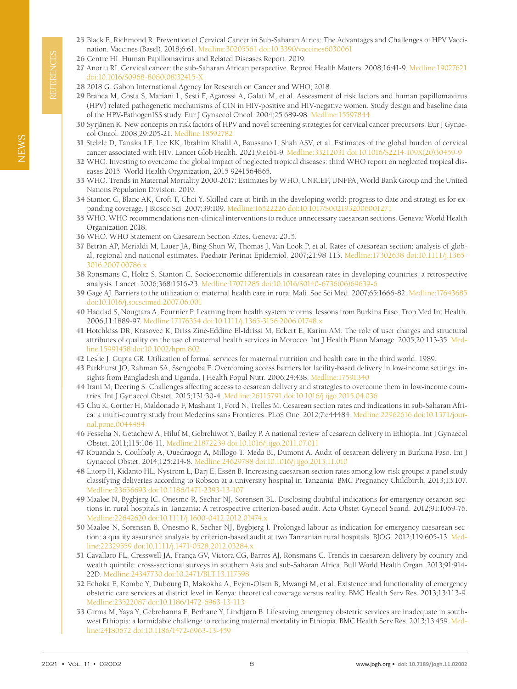- <span id="page-7-0"></span>25 Black E, Richmond R. Prevention of Cervical Cancer in Sub-Saharan Africa: The Advantages and Challenges of HPV Vaccination. Vaccines (Basel). 2018;6:61. [Medline:30205561](https://www.ncbi.nlm.nih.gov/entrez/query.fcgi?cmd=Retrieve&db=PubMed&list_uids=30205561&dopt=Abstract) [doi:10.3390/vaccines6030061](https://doi.org/10.3390/vaccines6030061)
- <span id="page-7-1"></span>26 Centre HI. Human Papillomavirus and Related Diseases Report. 2019.
- <span id="page-7-2"></span>27 Anorlu RI. Cervical cancer: the sub-Saharan African perspective. Reprod Health Matters. 2008;16:41-9. [Medline:19027621](https://www.ncbi.nlm.nih.gov/entrez/query.fcgi?cmd=Retrieve&db=PubMed&list_uids=19027621&dopt=Abstract) [doi:10.1016/S0968-8080\(08\)32415-X](https://doi.org/10.1016/S0968-8080(08)32415-X)
- <span id="page-7-3"></span>28 2018 G. Gabon International Agency for Research on Cancer and WHO; 2018.
- <span id="page-7-4"></span>29 Branca M, Costa S, Mariani L, Sesti F, Agarossi A, Galati M, et al. Assessment of risk factors and human papillomavirus (HPV) related pathogenetic mechanisms of CIN in HIV-positive and HIV-negative women. Study design and baseline data of the HPV-PathogenISS study. Eur J Gynaecol Oncol. 2004;25:689-98. [Medline:15597844](https://www.ncbi.nlm.nih.gov/entrez/query.fcgi?cmd=Retrieve&db=PubMed&list_uids=15597844&dopt=Abstract)
- 30 Syrjänen K. New concepts on risk factors of HPV and novel screening strategies for cervical cancer precursors. Eur J Gynaecol Oncol. 2008;29:205-21. [Medline:18592782](https://www.ncbi.nlm.nih.gov/entrez/query.fcgi?cmd=Retrieve&db=PubMed&list_uids=18592782&dopt=Abstract)
- <span id="page-7-5"></span>31 Stelzle D, Tanaka LF, Lee KK, Ibrahim Khalil A, Baussano I, Shah ASV, et al. Estimates of the global burden of cervical cancer associated with HIV. Lancet Glob Health. 2021;9:e161-9. [Medline:33212031](https://www.ncbi.nlm.nih.gov/entrez/query.fcgi?cmd=Retrieve&db=PubMed&list_uids=33212031&dopt=Abstract) [doi:10.1016/S2214-109X\(20\)30459-9](https://doi.org/10.1016/S2214-109X(20)30459-9)
- <span id="page-7-6"></span>32 WHO. Investing to overcome the global impact of neglected tropical diseases: third WHO report on neglected tropical diseases 2015. World Health Organization, 2015 9241564865.
- <span id="page-7-7"></span>33 WHO. Trends in Maternal Mortality 2000-2017: Estimates by WHO, UNICEF, UNFPA, World Bank Group and the United Nations Population Division. 2019.
- <span id="page-7-8"></span>34 Stanton C, Blanc AK, Croft T, Choi Y. Skilled care at birth in the developing world: progress to date and strategi es for expanding coverage. J Biosoc Sci. 2007;39:109. [Medline:16522226](https://www.ncbi.nlm.nih.gov/entrez/query.fcgi?cmd=Retrieve&db=PubMed&list_uids=16522226&dopt=Abstract) [doi:10.1017/S0021932006001271](https://doi.org/10.1017/S0021932006001271)
- <span id="page-7-9"></span>35 WHO. WHO recommendations non-clinical interventions to reduce unnecessary caesarean sections. Geneva: World Health Organization 2018.
- <span id="page-7-10"></span>36 WHO. WHO Statement on Caesarean Section Rates. Geneva: 2015.
- <span id="page-7-11"></span>37 Betrán AP, Merialdi M, Lauer JA, Bing-Shun W, Thomas J, Van Look P, et al. Rates of caesarean section: analysis of global, regional and national estimates. Paediatr Perinat Epidemiol. 2007;21:98-113. [Medline:17302638](https://www.ncbi.nlm.nih.gov/entrez/query.fcgi?cmd=Retrieve&db=PubMed&list_uids=17302638&dopt=Abstract) [doi:10.1111/j.1365-](https://doi.org/10.1111/j.1365-3016.2007.00786.x) [3016.2007.00786.x](https://doi.org/10.1111/j.1365-3016.2007.00786.x)
- <span id="page-7-12"></span>38 Ronsmans C, Holtz S, Stanton C. Socioeconomic differentials in caesarean rates in developing countries: a retrospective analysis. Lancet. 2006;368:1516-23. [Medline:17071285](https://www.ncbi.nlm.nih.gov/entrez/query.fcgi?cmd=Retrieve&db=PubMed&list_uids=17071285&dopt=Abstract) [doi:10.1016/S0140-6736\(06\)69639-6](https://doi.org/10.1016/S0140-6736(06)69639-6)
- <span id="page-7-13"></span>39 Gage AJ. Barriers to the utilization of maternal health care in rural Mali. Soc Sci Med. 2007;65:1666-82. [Medline:17643685](https://www.ncbi.nlm.nih.gov/entrez/query.fcgi?cmd=Retrieve&db=PubMed&list_uids=17643685&dopt=Abstract) [doi:10.1016/j.socscimed.2007.06.001](https://doi.org/10.1016/j.socscimed.2007.06.001)
- 40 Haddad S, Nougtara A, Fournier P. Learning from health system reforms: lessons from Burkina Faso. Trop Med Int Health. 2006;11:1889-97. [Medline:17176354](https://www.ncbi.nlm.nih.gov/entrez/query.fcgi?cmd=Retrieve&db=PubMed&list_uids=17176354&dopt=Abstract) [doi:10.1111/j.1365-3156.2006.01748.x](https://doi.org/10.1111/j.1365-3156.2006.01748.x)
- 41 Hotchkiss DR, Krasovec K, Driss Zine-Eddine El-Idrissi M, Eckert E, Karim AM. The role of user charges and structural attributes of quality on the use of maternal health services in Morocco. Int J Health Plann Manage. 2005;20:113-35. [Med](https://www.ncbi.nlm.nih.gov/entrez/query.fcgi?cmd=Retrieve&db=PubMed&list_uids=15991458&dopt=Abstract)[line:15991458](https://www.ncbi.nlm.nih.gov/entrez/query.fcgi?cmd=Retrieve&db=PubMed&list_uids=15991458&dopt=Abstract) [doi:10.1002/hpm.802](https://doi.org/10.1002/hpm.802)
- 42 Leslie J, Gupta GR. Utilization of formal services for maternal nutrition and health care in the third world. 1989.
- <span id="page-7-14"></span>43 Parkhurst JO, Rahman SA, Ssengooba F. Overcoming access barriers for facility-based delivery in low-income settings: insights from Bangladesh and Uganda. J Health Popul Nutr. 2006;24:438. [Medline:17591340](https://www.ncbi.nlm.nih.gov/entrez/query.fcgi?cmd=Retrieve&db=PubMed&list_uids=17591340&dopt=Abstract)
- <span id="page-7-15"></span>44 Irani M, Deering S. Challenges affecting access to cesarean delivery and strategies to overcome them in low-income countries. Int J Gynaecol Obstet. 2015;131:30-4. [Medline:26115791](https://www.ncbi.nlm.nih.gov/entrez/query.fcgi?cmd=Retrieve&db=PubMed&list_uids=26115791&dopt=Abstract) [doi:10.1016/j.ijgo.2015.04.036](https://doi.org/10.1016/j.ijgo.2015.04.036)
- <span id="page-7-16"></span>45 Chu K, Cortier H, Maldonado F, Mashant T, Ford N, Trelles M. Cesarean section rates and indications in sub-Saharan Africa: a multi-country study from Medecins sans Frontieres. PLoS One. 2012;7:e44484. [Medline:22962616](https://www.ncbi.nlm.nih.gov/entrez/query.fcgi?cmd=Retrieve&db=PubMed&list_uids=22962616&dopt=Abstract) [doi:10.1371/jour](https://doi.org/10.1371/journal.pone.0044484)[nal.pone.0044484](https://doi.org/10.1371/journal.pone.0044484)
- <span id="page-7-17"></span>46 Fesseha N, Getachew A, Hiluf M, Gebrehiwot Y, Bailey P. A national review of cesarean delivery in Ethiopia. Int J Gynaecol Obstet. 2011;115:106-11. [Medline:21872239](https://www.ncbi.nlm.nih.gov/entrez/query.fcgi?cmd=Retrieve&db=PubMed&list_uids=21872239&dopt=Abstract) [doi:10.1016/j.ijgo.2011.07.011](https://doi.org/10.1016/j.ijgo.2011.07.011)
- 47 Kouanda S, Coulibaly A, Ouedraogo A, Millogo T, Meda BI, Dumont A. Audit of cesarean delivery in Burkina Faso. Int J Gynaecol Obstet. 2014;125:214-8. [Medline:24629788](https://www.ncbi.nlm.nih.gov/entrez/query.fcgi?cmd=Retrieve&db=PubMed&list_uids=24629788&dopt=Abstract) [doi:10.1016/j.ijgo.2013.11.010](https://doi.org/10.1016/j.ijgo.2013.11.010)
- 48 Litorp H, Kidanto HL, Nystrom L, Darj E, Essén B. Increasing caesarean section rates among low-risk groups: a panel study classifying deliveries according to Robson at a university hospital in Tanzania. BMC Pregnancy Childbirth. 2013;13:107. [Medline:23656693](https://www.ncbi.nlm.nih.gov/entrez/query.fcgi?cmd=Retrieve&db=PubMed&list_uids=23656693&dopt=Abstract) [doi:10.1186/1471-2393-13-107](https://doi.org/10.1186/1471-2393-13-107)
- 49 Maaløe N, Bygbjerg IC, Onesmo R, Secher NJ, Sorensen BL. Disclosing doubtful indications for emergency cesarean sections in rural hospitals in Tanzania: A retrospective criterion-based audit. Acta Obstet Gynecol Scand. 2012;91:1069-76. [Medline:22642620](https://www.ncbi.nlm.nih.gov/entrez/query.fcgi?cmd=Retrieve&db=PubMed&list_uids=22642620&dopt=Abstract) [doi:10.1111/j.1600-0412.2012.01474.x](https://doi.org/10.1111/j.1600-0412.2012.01474.x)
- <span id="page-7-18"></span>50 Maaløe N, Sorensen B, Onesmo R, Secher NJ, Bygbjerg I. Prolonged labour as indication for emergency caesarean section: a quality assurance analysis by criterion-based audit at two Tanzanian rural hospitals. BJOG. 2012;119:605-13. [Med](https://www.ncbi.nlm.nih.gov/entrez/query.fcgi?cmd=Retrieve&db=PubMed&list_uids=22329559&dopt=Abstract)[line:22329559](https://www.ncbi.nlm.nih.gov/entrez/query.fcgi?cmd=Retrieve&db=PubMed&list_uids=22329559&dopt=Abstract) [doi:10.1111/j.1471-0528.2012.03284.x](https://doi.org/10.1111/j.1471-0528.2012.03284.x)
- <span id="page-7-19"></span>51 Cavallaro FL, Cresswell JA, França GV, Victora CG, Barros AJ, Ronsmans C. Trends in caesarean delivery by country and wealth quintile: cross-sectional surveys in southern Asia and sub-Saharan Africa. Bull World Health Organ. 2013;91:914- 22D. [Medline:24347730](https://www.ncbi.nlm.nih.gov/entrez/query.fcgi?cmd=Retrieve&db=PubMed&list_uids=24347730&dopt=Abstract) [doi:10.2471/BLT.13.117598](https://doi.org/10.2471/BLT.13.117598)
- 52 Echoka E, Kombe Y, Dubourg D, Makokha A, Evjen-Olsen B, Mwangi M, et al. Existence and functionality of emergency obstetric care services at district level in Kenya: theoretical coverage versus reality. BMC Health Serv Res. 2013;13:113-9. [Medline:23522087](https://www.ncbi.nlm.nih.gov/entrez/query.fcgi?cmd=Retrieve&db=PubMed&list_uids=23522087&dopt=Abstract) [doi:10.1186/1472-6963-13-113](https://doi.org/10.1186/1472-6963-13-113)
- 53 Girma M, Yaya Y, Gebrehanna E, Berhane Y, Lindtjørn B. Lifesaving emergency obstetric services are inadequate in southwest Ethiopia: a formidable challenge to reducing maternal mortality in Ethiopia. BMC Health Serv Res. 2013;13:459. [Med](https://www.ncbi.nlm.nih.gov/entrez/query.fcgi?cmd=Retrieve&db=PubMed&list_uids=24180672&dopt=Abstract)[line:24180672](https://www.ncbi.nlm.nih.gov/entrez/query.fcgi?cmd=Retrieve&db=PubMed&list_uids=24180672&dopt=Abstract) [doi:10.1186/1472-6963-13-459](https://doi.org/10.1186/1472-6963-13-459)

**REFERENCES** REFERENCES